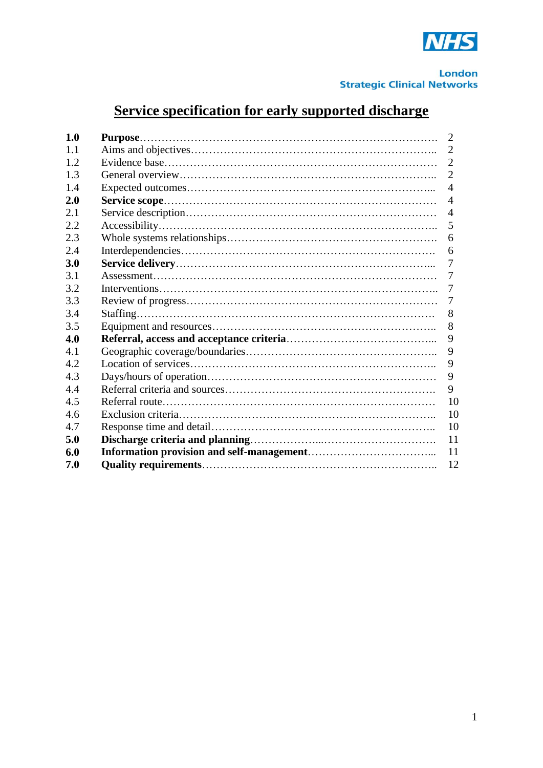

# **Service specification for early supported discharge**

| 1.0        | 2              |
|------------|----------------|
| 1.1        | 2              |
| 1.2        | $\overline{2}$ |
| 1.3        | $\overline{2}$ |
| 1.4        | $\overline{4}$ |
| <b>2.0</b> | $\overline{A}$ |
| 2.1        | $\overline{4}$ |
| 2.2        | 5              |
| 2.3        | 6              |
| 2.4        | 6              |
| 3.0        | 7              |
| 3.1        | 7              |
| 3.2        | 7              |
| 3.3        | 7              |
| 3.4        | 8              |
| 3.5        | 8              |
| 4.0        | 9              |
| 4.1        | 9              |
| 4.2        | 9              |
| 4.3        | 9              |
| 4.4        | 9              |
| 4.5        | 10             |
| 4.6        | 10             |
| 4.7        | 10             |
| 5.0        | 11             |
| 6.0        | 11             |
| 7.0        | 12             |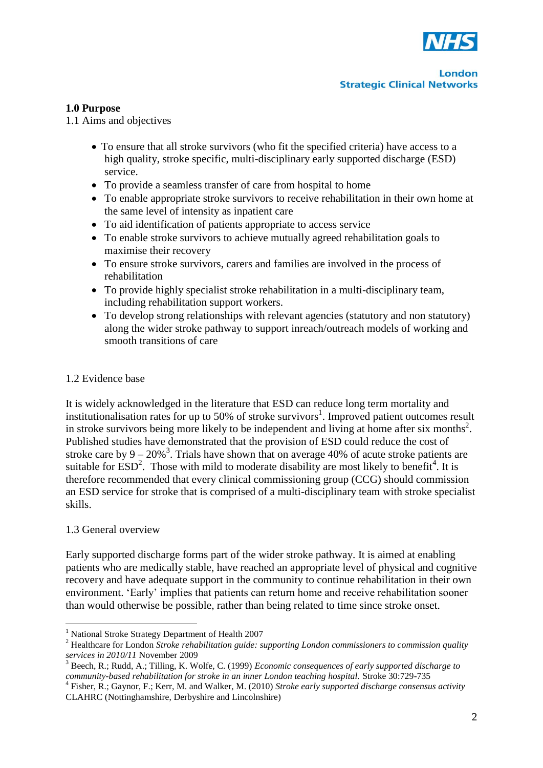

#### **1.0 Purpose**

1.1 Aims and objectives

- To ensure that all stroke survivors (who fit the specified criteria) have access to a high quality, stroke specific, multi-disciplinary early supported discharge (ESD) service.
- To provide a seamless transfer of care from hospital to home
- To enable appropriate stroke survivors to receive rehabilitation in their own home at the same level of intensity as inpatient care
- To aid identification of patients appropriate to access service
- To enable stroke survivors to achieve mutually agreed rehabilitation goals to maximise their recovery
- To ensure stroke survivors, carers and families are involved in the process of rehabilitation
- To provide highly specialist stroke rehabilitation in a multi-disciplinary team, including rehabilitation support workers.
- To develop strong relationships with relevant agencies (statutory and non statutory) along the wider stroke pathway to support inreach/outreach models of working and smooth transitions of care

#### 1.2 Evidence base

It is widely acknowledged in the literature that ESD can reduce long term mortality and institutionalisation rates for up to 50% of stroke survivors<sup>1</sup>. Improved patient outcomes result in stroke survivors being more likely to be independent and living at home after six months<sup>2</sup>. Published studies have demonstrated that the provision of ESD could reduce the cost of stroke care by  $9 - 20\%$ <sup>3</sup>. Trials have shown that on average 40% of acute stroke patients are suitable for  $\text{ESD}^2$ . Those with mild to moderate disability are most likely to benefit<sup>4</sup>. It is therefore recommended that every clinical commissioning group (CCG) should commission an ESD service for stroke that is comprised of a multi-disciplinary team with stroke specialist skills.

#### 1.3 General overview

1

Early supported discharge forms part of the wider stroke pathway. It is aimed at enabling patients who are medically stable, have reached an appropriate level of physical and cognitive recovery and have adequate support in the community to continue rehabilitation in their own environment. 'Early' implies that patients can return home and receive rehabilitation sooner than would otherwise be possible, rather than being related to time since stroke onset.

<sup>1</sup> National Stroke Strategy Department of Health 2007

<sup>2</sup> Healthcare for London *Stroke rehabilitation guide: supporting London commissioners to commission quality services in 2010/11* November 2009

<sup>3</sup> Beech, R.; Rudd, A.; Tilling, K. Wolfe, C. (1999) *Economic consequences of early supported discharge to*  community-based rehabilitation for stroke in an inner London teaching hospital. Stroke 30:729-735<br><sup>4</sup> Fisher, R.; Gaynor, F.; Kerr, M. and Walker, M. (2010) *Stroke early supported discharge consensus activity* 

CLAHRC (Nottinghamshire, Derbyshire and Lincolnshire)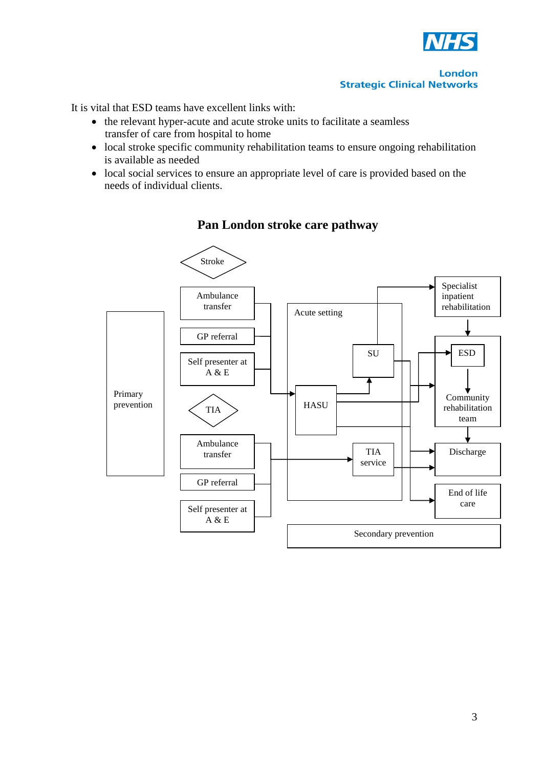

It is vital that ESD teams have excellent links with:

- the relevant hyper-acute and acute stroke units to facilitate a seamless transfer of care from hospital to home
- local stroke specific community rehabilitation teams to ensure ongoing rehabilitation is available as needed
- local social services to ensure an appropriate level of care is provided based on the needs of individual clients.



### **Pan London stroke care pathway**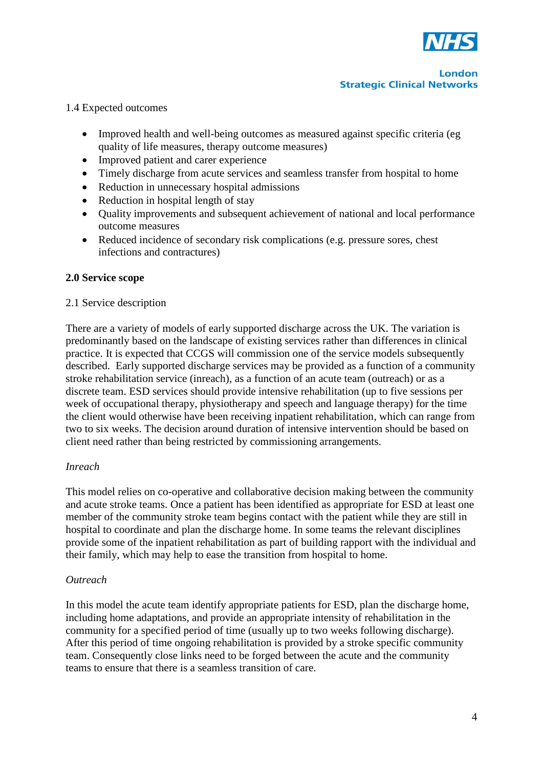

#### 1.4 Expected outcomes

- Improved health and well-being outcomes as measured against specific criteria (eg quality of life measures, therapy outcome measures)
- Improved patient and carer experience
- Timely discharge from acute services and seamless transfer from hospital to home
- Reduction in unnecessary hospital admissions
- Reduction in hospital length of stay
- Quality improvements and subsequent achievement of national and local performance outcome measures
- Reduced incidence of secondary risk complications (e.g. pressure sores, chest infections and contractures)

#### **2.0 Service scope**

#### 2.1 Service description

There are a variety of models of early supported discharge across the UK. The variation is predominantly based on the landscape of existing services rather than differences in clinical practice. It is expected that CCGS will commission one of the service models subsequently described. Early supported discharge services may be provided as a function of a community stroke rehabilitation service (inreach), as a function of an acute team (outreach) or as a discrete team. ESD services should provide intensive rehabilitation (up to five sessions per week of occupational therapy, physiotherapy and speech and language therapy) for the time the client would otherwise have been receiving inpatient rehabilitation, which can range from two to six weeks. The decision around duration of intensive intervention should be based on client need rather than being restricted by commissioning arrangements.

#### *Inreach*

This model relies on co-operative and collaborative decision making between the community and acute stroke teams. Once a patient has been identified as appropriate for ESD at least one member of the community stroke team begins contact with the patient while they are still in hospital to coordinate and plan the discharge home. In some teams the relevant disciplines provide some of the inpatient rehabilitation as part of building rapport with the individual and their family, which may help to ease the transition from hospital to home.

#### *Outreach*

In this model the acute team identify appropriate patients for ESD, plan the discharge home, including home adaptations, and provide an appropriate intensity of rehabilitation in the community for a specified period of time (usually up to two weeks following discharge). After this period of time ongoing rehabilitation is provided by a stroke specific community team. Consequently close links need to be forged between the acute and the community teams to ensure that there is a seamless transition of care.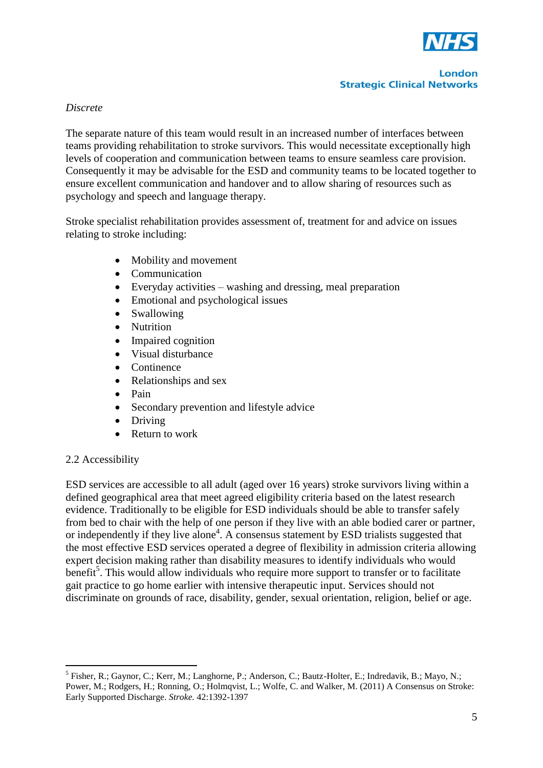

#### *Discrete*

The separate nature of this team would result in an increased number of interfaces between teams providing rehabilitation to stroke survivors. This would necessitate exceptionally high levels of cooperation and communication between teams to ensure seamless care provision. Consequently it may be advisable for the ESD and community teams to be located together to ensure excellent communication and handover and to allow sharing of resources such as psychology and speech and language therapy.

Stroke specialist rehabilitation provides assessment of, treatment for and advice on issues relating to stroke including:

- Mobility and movement
- Communication
- Everyday activities washing and dressing, meal preparation
- Emotional and psychological issues
- Swallowing
- Nutrition
- Impaired cognition
- Visual disturbance
- Continence
- Relationships and sex
- Pain
- Secondary prevention and lifestyle advice
- Driving
- Return to work

#### 2.2 Accessibility

1

ESD services are accessible to all adult (aged over 16 years) stroke survivors living within a defined geographical area that meet agreed eligibility criteria based on the latest research evidence. Traditionally to be eligible for ESD individuals should be able to transfer safely from bed to chair with the help of one person if they live with an able bodied carer or partner, or independently if they live alone<sup>4</sup>. A consensus statement by ESD trialists suggested that the most effective ESD services operated a degree of flexibility in admission criteria allowing expert decision making rather than disability measures to identify individuals who would benefit<sup>5</sup>. This would allow individuals who require more support to transfer or to facilitate gait practice to go home earlier with intensive therapeutic input. Services should not discriminate on grounds of race, disability, gender, sexual orientation, religion, belief or age.

<sup>&</sup>lt;sup>5</sup> Fisher, R.; Gaynor, C.; Kerr, M.; Langhorne, P.; Anderson, C.; Bautz-Holter, E.; Indredavik, B.; Mayo, N.; Power, M.; Rodgers, H.; Ronning, O.; Holmqvist, L.; Wolfe, C. and Walker, M. (2011) A Consensus on Stroke: Early Supported Discharge. *Stroke.* 42:1392-1397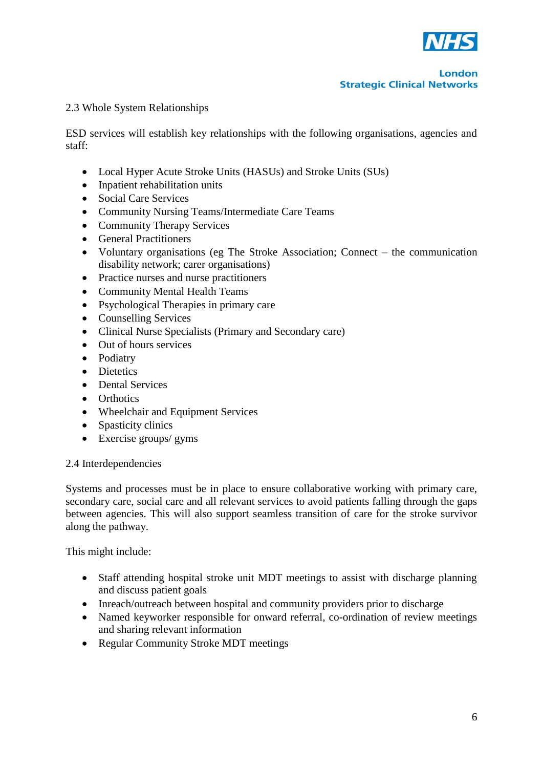

#### 2.3 Whole System Relationships

ESD services will establish key relationships with the following organisations, agencies and staff:

- Local Hyper Acute Stroke Units (HASUs) and Stroke Units (SUs)
- Inpatient rehabilitation units
- Social Care Services
- Community Nursing Teams/Intermediate Care Teams
- Community Therapy Services
- General Practitioners
- Voluntary organisations (eg The Stroke Association; Connect the communication disability network; carer organisations)
- Practice nurses and nurse practitioners
- Community Mental Health Teams
- Psychological Therapies in primary care
- Counselling Services
- Clinical Nurse Specialists (Primary and Secondary care)
- Out of hours services
- Podiatry
- Dietetics
- Dental Services
- Orthotics
- Wheelchair and Equipment Services
- Spasticity clinics
- Exercise groups/ gyms

#### 2.4 Interdependencies

Systems and processes must be in place to ensure collaborative working with primary care, secondary care, social care and all relevant services to avoid patients falling through the gaps between agencies. This will also support seamless transition of care for the stroke survivor along the pathway.

This might include:

- Staff attending hospital stroke unit MDT meetings to assist with discharge planning and discuss patient goals
- Inreach/outreach between hospital and community providers prior to discharge
- Named keyworker responsible for onward referral, co-ordination of review meetings and sharing relevant information
- Regular Community Stroke MDT meetings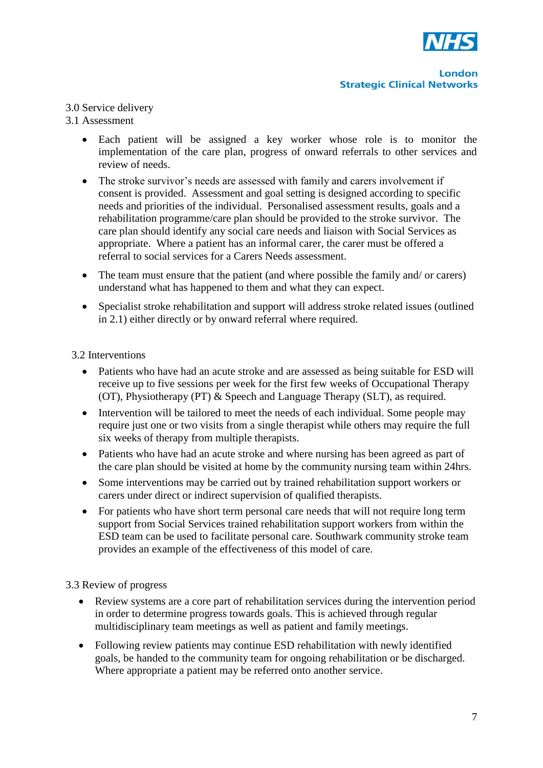

#### 3.0 Service delivery

### 3.1 Assessment

- Each patient will be assigned a key worker whose role is to monitor the implementation of the care plan, progress of onward referrals to other services and review of needs.
- The stroke survivor's needs are assessed with family and carers involvement if consent is provided. Assessment and goal setting is designed according to specific needs and priorities of the individual. Personalised assessment results, goals and a rehabilitation programme/care plan should be provided to the stroke survivor. The care plan should identify any social care needs and liaison with Social Services as appropriate. Where a patient has an informal carer, the carer must be offered a referral to social services for a Carers Needs assessment.
- The team must ensure that the patient (and where possible the family and/ or carers) understand what has happened to them and what they can expect.
- Specialist stroke rehabilitation and support will address stroke related issues (outlined in 2.1) either directly or by onward referral where required.

#### 3.2 Interventions

- Patients who have had an acute stroke and are assessed as being suitable for ESD will receive up to five sessions per week for the first few weeks of Occupational Therapy (OT), Physiotherapy (PT) & Speech and Language Therapy (SLT), as required.
- Intervention will be tailored to meet the needs of each individual. Some people may require just one or two visits from a single therapist while others may require the full six weeks of therapy from multiple therapists.
- Patients who have had an acute stroke and where nursing has been agreed as part of the care plan should be visited at home by the community nursing team within 24hrs.
- Some interventions may be carried out by trained rehabilitation support workers or carers under direct or indirect supervision of qualified therapists.
- For patients who have short term personal care needs that will not require long term support from Social Services trained rehabilitation support workers from within the ESD team can be used to facilitate personal care. Southwark community stroke team provides an example of the effectiveness of this model of care.

#### 3.3 Review of progress

- Review systems are a core part of rehabilitation services during the intervention period in order to determine progress towards goals. This is achieved through regular multidisciplinary team meetings as well as patient and family meetings.
- Following review patients may continue ESD rehabilitation with newly identified goals, be handed to the community team for ongoing rehabilitation or be discharged. Where appropriate a patient may be referred onto another service.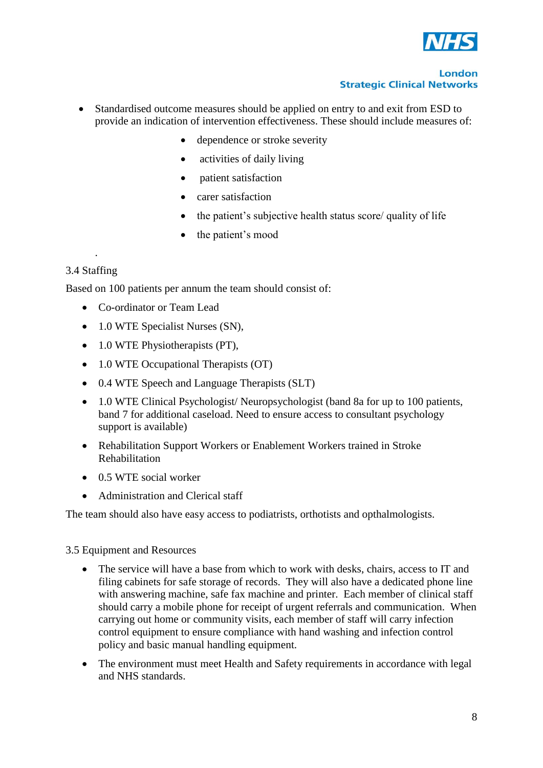

- Standardised outcome measures should be applied on entry to and exit from ESD to provide an indication of intervention effectiveness. These should include measures of:
	- dependence or stroke severity
	- activities of daily living
	- patient satisfaction
	- carer satisfaction
	- the patient's subjective health status score/ quality of life
	- the patient's mood

#### 3.4 Staffing

.

Based on 100 patients per annum the team should consist of:

- Co-ordinator or Team Lead
- 1.0 WTE Specialist Nurses (SN),
- 1.0 WTE Physiotherapists (PT),
- 1.0 WTE Occupational Therapists (OT)
- 0.4 WTE Speech and Language Therapists (SLT)
- 1.0 WTE Clinical Psychologist/ Neuropsychologist (band 8a for up to 100 patients, band 7 for additional caseload. Need to ensure access to consultant psychology support is available)
- Rehabilitation Support Workers or Enablement Workers trained in Stroke Rehabilitation
- 0.5 WTE social worker
- Administration and Clerical staff

The team should also have easy access to podiatrists, orthotists and opthalmologists.

#### 3.5 Equipment and Resources

- The service will have a base from which to work with desks, chairs, access to IT and filing cabinets for safe storage of records. They will also have a dedicated phone line with answering machine, safe fax machine and printer. Each member of clinical staff should carry a mobile phone for receipt of urgent referrals and communication. When carrying out home or community visits, each member of staff will carry infection control equipment to ensure compliance with hand washing and infection control policy and basic manual handling equipment.
- The environment must meet Health and Safety requirements in accordance with legal and NHS standards.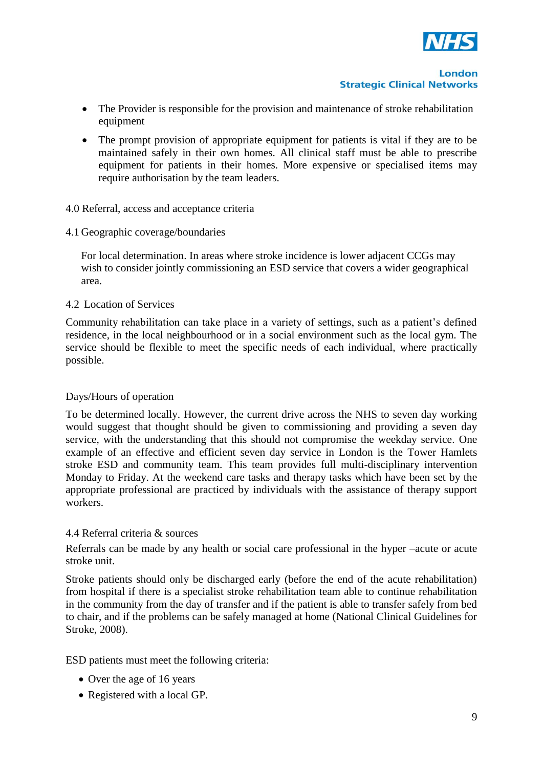

- The Provider is responsible for the provision and maintenance of stroke rehabilitation equipment
- The prompt provision of appropriate equipment for patients is vital if they are to be maintained safely in their own homes. All clinical staff must be able to prescribe equipment for patients in their homes. More expensive or specialised items may require authorisation by the team leaders.
- 4.0 Referral, access and acceptance criteria
- 4.1 Geographic coverage/boundaries

For local determination. In areas where stroke incidence is lower adjacent CCGs may wish to consider jointly commissioning an ESD service that covers a wider geographical area.

#### 4.2 Location of Services

Community rehabilitation can take place in a variety of settings, such as a patient's defined residence, in the local neighbourhood or in a social environment such as the local gym. The service should be flexible to meet the specific needs of each individual, where practically possible.

#### Days/Hours of operation

To be determined locally. However, the current drive across the NHS to seven day working would suggest that thought should be given to commissioning and providing a seven day service, with the understanding that this should not compromise the weekday service. One example of an effective and efficient seven day service in London is the Tower Hamlets stroke ESD and community team. This team provides full multi-disciplinary intervention Monday to Friday. At the weekend care tasks and therapy tasks which have been set by the appropriate professional are practiced by individuals with the assistance of therapy support workers.

#### 4.4 Referral criteria & sources

Referrals can be made by any health or social care professional in the hyper –acute or acute stroke unit.

Stroke patients should only be discharged early (before the end of the acute rehabilitation) from hospital if there is a specialist stroke rehabilitation team able to continue rehabilitation in the community from the day of transfer and if the patient is able to transfer safely from bed to chair, and if the problems can be safely managed at home (National Clinical Guidelines for Stroke, 2008).

ESD patients must meet the following criteria:

- Over the age of 16 years
- Registered with a local GP.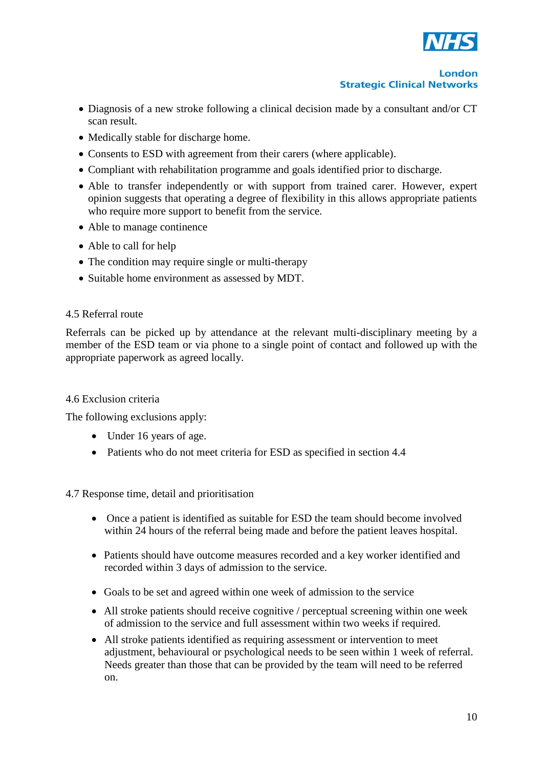

- Diagnosis of a new stroke following a clinical decision made by a consultant and/or CT scan result.
- Medically stable for discharge home.
- Consents to ESD with agreement from their carers (where applicable).
- Compliant with rehabilitation programme and goals identified prior to discharge.
- Able to transfer independently or with support from trained carer. However, expert opinion suggests that operating a degree of flexibility in this allows appropriate patients who require more support to benefit from the service.
- Able to manage continence
- Able to call for help
- The condition may require single or multi-therapy
- Suitable home environment as assessed by MDT.

#### 4.5 Referral route

Referrals can be picked up by attendance at the relevant multi-disciplinary meeting by a member of the ESD team or via phone to a single point of contact and followed up with the appropriate paperwork as agreed locally.

#### 4.6 Exclusion criteria

The following exclusions apply:

- Under 16 years of age.
- Patients who do not meet criteria for ESD as specified in section 4.4

#### 4.7 Response time, detail and prioritisation

- Once a patient is identified as suitable for ESD the team should become involved within 24 hours of the referral being made and before the patient leaves hospital.
- Patients should have outcome measures recorded and a key worker identified and recorded within 3 days of admission to the service.
- Goals to be set and agreed within one week of admission to the service
- All stroke patients should receive cognitive / perceptual screening within one week of admission to the service and full assessment within two weeks if required.
- All stroke patients identified as requiring assessment or intervention to meet adjustment, behavioural or psychological needs to be seen within 1 week of referral. Needs greater than those that can be provided by the team will need to be referred on.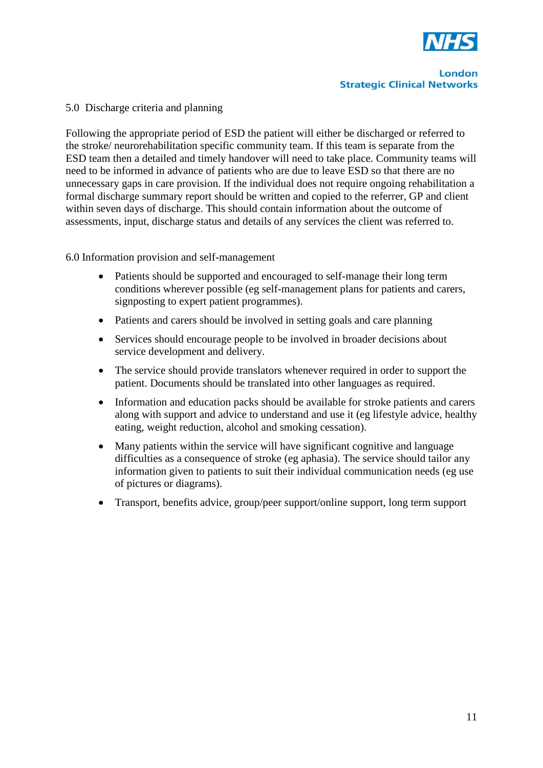

#### 5.0 Discharge criteria and planning

Following the appropriate period of ESD the patient will either be discharged or referred to the stroke/ neurorehabilitation specific community team. If this team is separate from the ESD team then a detailed and timely handover will need to take place. Community teams will need to be informed in advance of patients who are due to leave ESD so that there are no unnecessary gaps in care provision. If the individual does not require ongoing rehabilitation a formal discharge summary report should be written and copied to the referrer, GP and client within seven days of discharge. This should contain information about the outcome of assessments, input, discharge status and details of any services the client was referred to.

6.0 Information provision and self-management

- Patients should be supported and encouraged to self-manage their long term conditions wherever possible (eg self-management plans for patients and carers, signposting to expert patient programmes).
- Patients and carers should be involved in setting goals and care planning
- Services should encourage people to be involved in broader decisions about service development and delivery.
- The service should provide translators whenever required in order to support the patient. Documents should be translated into other languages as required.
- Information and education packs should be available for stroke patients and carers along with support and advice to understand and use it (eg lifestyle advice, healthy eating, weight reduction, alcohol and smoking cessation).
- Many patients within the service will have significant cognitive and language difficulties as a consequence of stroke (eg aphasia). The service should tailor any information given to patients to suit their individual communication needs (eg use of pictures or diagrams).
- Transport, benefits advice, group/peer support/online support, long term support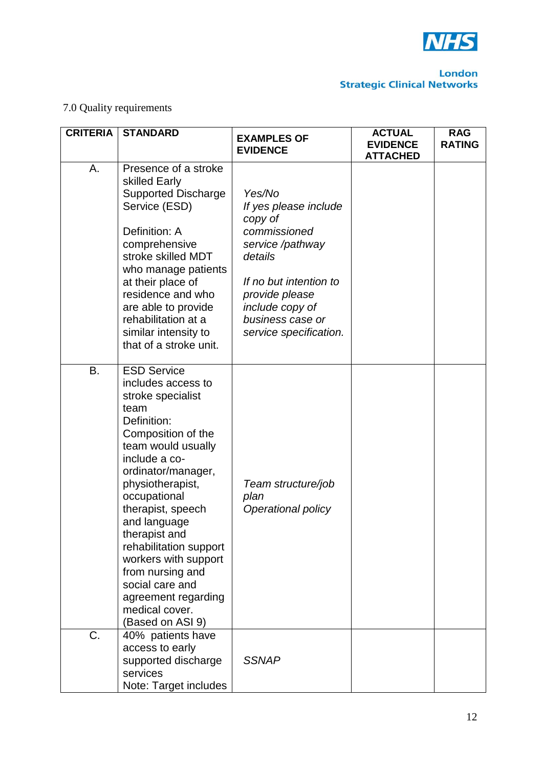

## 7.0 Quality requirements

| <b>CRITERIA</b> | <b>STANDARD</b>                                                                                                                                                                                                                                                                                                                                                                                                         | <b>EXAMPLES OF</b><br><b>EVIDENCE</b>                                                                                                                                                                  | <b>ACTUAL</b><br><b>EVIDENCE</b><br><b>ATTACHED</b> | <b>RAG</b><br><b>RATING</b> |
|-----------------|-------------------------------------------------------------------------------------------------------------------------------------------------------------------------------------------------------------------------------------------------------------------------------------------------------------------------------------------------------------------------------------------------------------------------|--------------------------------------------------------------------------------------------------------------------------------------------------------------------------------------------------------|-----------------------------------------------------|-----------------------------|
| Α.              | Presence of a stroke<br>skilled Early<br><b>Supported Discharge</b><br>Service (ESD)<br>Definition: A<br>comprehensive<br>stroke skilled MDT<br>who manage patients<br>at their place of<br>residence and who<br>are able to provide<br>rehabilitation at a<br>similar intensity to<br>that of a stroke unit.                                                                                                           | Yes/No<br>If yes please include<br>copy of<br>commissioned<br>service /pathway<br>details<br>If no but intention to<br>provide please<br>include copy of<br>business case or<br>service specification. |                                                     |                             |
| <b>B.</b>       | <b>ESD Service</b><br>includes access to<br>stroke specialist<br>team<br>Definition:<br>Composition of the<br>team would usually<br>include a co-<br>ordinator/manager,<br>physiotherapist,<br>occupational<br>therapist, speech<br>and language<br>therapist and<br>rehabilitation support<br>workers with support<br>from nursing and<br>social care and<br>agreement regarding<br>medical cover.<br>(Based on ASI 9) | Team structure/job<br>plan<br>Operational policy                                                                                                                                                       |                                                     |                             |
| C.              | 40% patients have<br>access to early<br>supported discharge<br>services<br>Note: Target includes                                                                                                                                                                                                                                                                                                                        | <b>SSNAP</b>                                                                                                                                                                                           |                                                     |                             |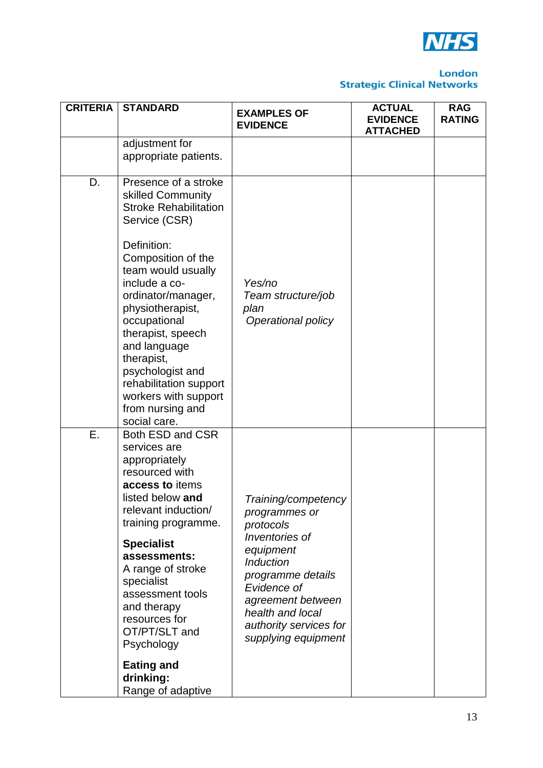

| <b>CRITERIA</b> | <b>STANDARD</b>                                                                                                                                                                                                                                                                                                                          | <b>EXAMPLES OF</b><br><b>EVIDENCE</b>                                                                                                                                                                                              | <b>ACTUAL</b><br><b>EVIDENCE</b><br><b>ATTACHED</b> | <b>RAG</b><br><b>RATING</b> |
|-----------------|------------------------------------------------------------------------------------------------------------------------------------------------------------------------------------------------------------------------------------------------------------------------------------------------------------------------------------------|------------------------------------------------------------------------------------------------------------------------------------------------------------------------------------------------------------------------------------|-----------------------------------------------------|-----------------------------|
|                 | adjustment for<br>appropriate patients.                                                                                                                                                                                                                                                                                                  |                                                                                                                                                                                                                                    |                                                     |                             |
| D.              | Presence of a stroke<br>skilled Community<br><b>Stroke Rehabilitation</b><br>Service (CSR)<br>Definition:<br>Composition of the<br>team would usually<br>include a co-<br>ordinator/manager,<br>physiotherapist,<br>occupational<br>therapist, speech<br>and language<br>therapist,<br>psychologist and<br>rehabilitation support        | Yes/no<br>Team structure/job<br>plan<br>Operational policy                                                                                                                                                                         |                                                     |                             |
|                 | workers with support<br>from nursing and<br>social care.                                                                                                                                                                                                                                                                                 |                                                                                                                                                                                                                                    |                                                     |                             |
| Ε.              | Both ESD and CSR<br>services are<br>appropriately<br>resourced with<br>access to items<br>listed below and<br>relevant induction/<br>training programme.<br><b>Specialist</b><br>assessments:<br>A range of stroke<br>specialist<br>assessment tools<br>and therapy<br>resources for<br>OT/PT/SLT and<br>Psychology<br><b>Eating and</b> | Training/competency<br>programmes or<br>protocols<br>Inventories of<br>equipment<br><b>Induction</b><br>programme details<br>Evidence of<br>agreement between<br>health and local<br>authority services for<br>supplying equipment |                                                     |                             |
|                 | drinking:<br>Range of adaptive                                                                                                                                                                                                                                                                                                           |                                                                                                                                                                                                                                    |                                                     |                             |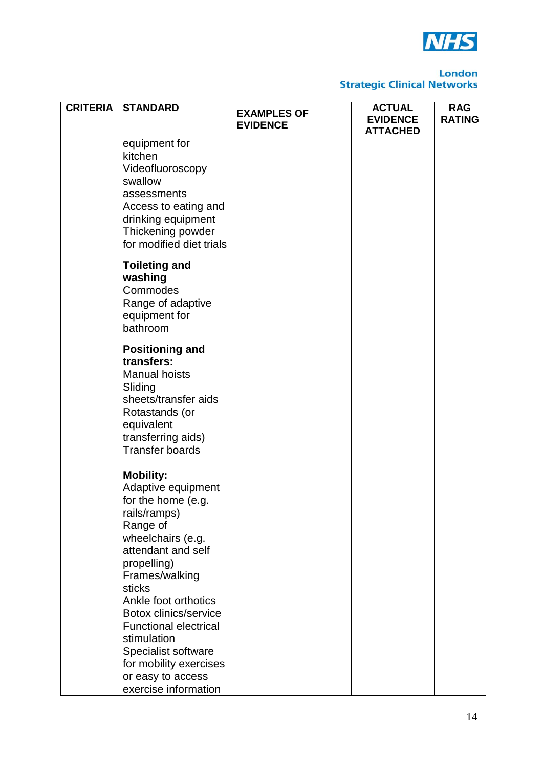

| <b>CRITERIA</b> | <b>STANDARD</b>                                                                                                                                                                                                                                                                                                                                                                     | <b>EXAMPLES OF</b><br><b>EVIDENCE</b> | <b>ACTUAL</b><br><b>EVIDENCE</b><br><b>ATTACHED</b> | <b>RAG</b><br><b>RATING</b> |
|-----------------|-------------------------------------------------------------------------------------------------------------------------------------------------------------------------------------------------------------------------------------------------------------------------------------------------------------------------------------------------------------------------------------|---------------------------------------|-----------------------------------------------------|-----------------------------|
|                 | equipment for<br>kitchen<br>Videofluoroscopy<br>swallow<br>assessments<br>Access to eating and<br>drinking equipment<br>Thickening powder<br>for modified diet trials                                                                                                                                                                                                               |                                       |                                                     |                             |
|                 | <b>Toileting and</b><br>washing<br>Commodes<br>Range of adaptive<br>equipment for<br>bathroom                                                                                                                                                                                                                                                                                       |                                       |                                                     |                             |
|                 | <b>Positioning and</b><br>transfers:<br><b>Manual hoists</b><br>Sliding<br>sheets/transfer aids<br>Rotastands (or<br>equivalent<br>transferring aids)<br><b>Transfer boards</b>                                                                                                                                                                                                     |                                       |                                                     |                             |
|                 | <b>Mobility:</b><br>Adaptive equipment<br>for the home (e.g.<br>rails/ramps)<br>Range of<br>wheelchairs (e.g.<br>attendant and self<br>propelling)<br>Frames/walking<br>sticks<br>Ankle foot orthotics<br><b>Botox clinics/service</b><br><b>Functional electrical</b><br>stimulation<br>Specialist software<br>for mobility exercises<br>or easy to access<br>exercise information |                                       |                                                     |                             |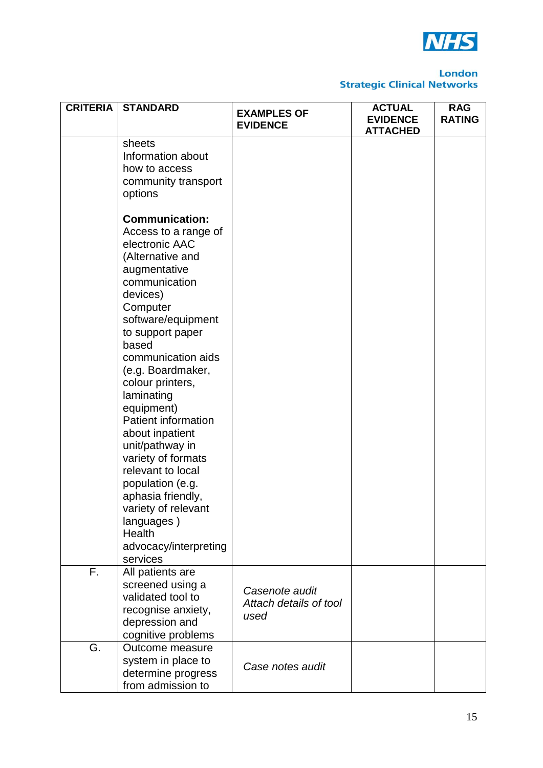

| <b>CRITERIA</b> | <b>STANDARD</b>                                                                                                                                                                                                                                         | <b>EXAMPLES OF</b><br><b>EVIDENCE</b>            | <b>ACTUAL</b><br><b>EVIDENCE</b><br><b>ATTACHED</b> | <b>RAG</b><br><b>RATING</b> |
|-----------------|---------------------------------------------------------------------------------------------------------------------------------------------------------------------------------------------------------------------------------------------------------|--------------------------------------------------|-----------------------------------------------------|-----------------------------|
|                 | sheets<br>Information about<br>how to access<br>community transport<br>options<br><b>Communication:</b>                                                                                                                                                 |                                                  |                                                     |                             |
|                 | Access to a range of<br>electronic AAC<br>(Alternative and<br>augmentative<br>communication<br>devices)<br>Computer<br>software/equipment                                                                                                               |                                                  |                                                     |                             |
|                 | to support paper<br>based<br>communication aids<br>(e.g. Boardmaker,<br>colour printers,<br>laminating<br>equipment)<br><b>Patient information</b><br>about inpatient<br>unit/pathway in<br>variety of formats<br>relevant to local<br>population (e.g. |                                                  |                                                     |                             |
|                 | aphasia friendly,<br>variety of relevant<br>languages)<br>Health<br>advocacy/interpreting<br>services                                                                                                                                                   |                                                  |                                                     |                             |
| F.              | All patients are<br>screened using a<br>validated tool to<br>recognise anxiety,<br>depression and<br>cognitive problems                                                                                                                                 | Casenote audit<br>Attach details of tool<br>used |                                                     |                             |
| G.              | Outcome measure<br>system in place to<br>determine progress<br>from admission to                                                                                                                                                                        | Case notes audit                                 |                                                     |                             |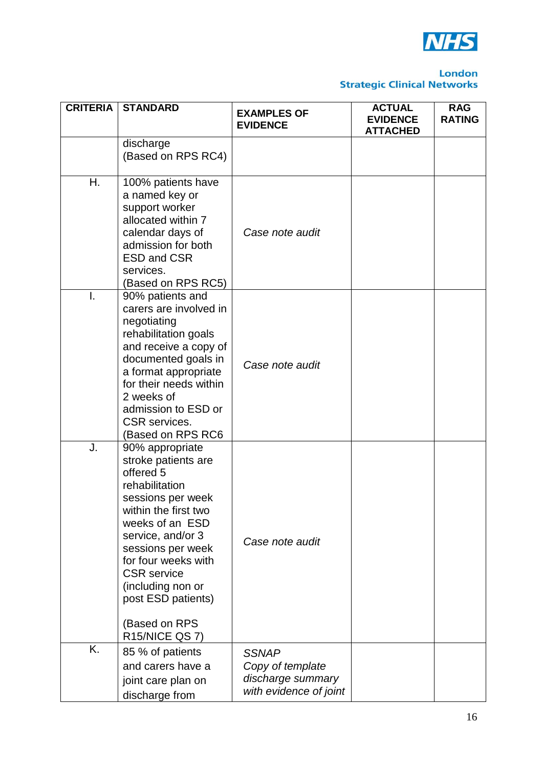

| <b>CRITERIA</b> | <b>STANDARD</b>                                                                                                                                                                                                                                                                                                   | <b>EXAMPLES OF</b><br><b>EVIDENCE</b>                                           | <b>ACTUAL</b><br><b>EVIDENCE</b><br><b>ATTACHED</b> | <b>RAG</b><br><b>RATING</b> |
|-----------------|-------------------------------------------------------------------------------------------------------------------------------------------------------------------------------------------------------------------------------------------------------------------------------------------------------------------|---------------------------------------------------------------------------------|-----------------------------------------------------|-----------------------------|
|                 | discharge<br>(Based on RPS RC4)                                                                                                                                                                                                                                                                                   |                                                                                 |                                                     |                             |
| Η.              | 100% patients have<br>a named key or<br>support worker<br>allocated within 7<br>calendar days of<br>admission for both<br><b>ESD and CSR</b><br>services.<br>(Based on RPS RC5)                                                                                                                                   | Case note audit                                                                 |                                                     |                             |
| I.              | 90% patients and<br>carers are involved in<br>negotiating<br>rehabilitation goals<br>and receive a copy of<br>documented goals in<br>a format appropriate<br>for their needs within<br>2 weeks of<br>admission to ESD or<br><b>CSR</b> services.<br>(Based on RPS RC6                                             | Case note audit                                                                 |                                                     |                             |
| J.              | 90% appropriate<br>stroke patients are<br>offered 5<br>rehabilitation<br>sessions per week<br>within the first two<br>weeks of an ESD<br>service, and/or 3<br>sessions per week<br>for four weeks with<br><b>CSR</b> service<br>(including non or<br>post ESD patients)<br>(Based on RPS<br><b>R15/NICE QS 7)</b> | Case note audit                                                                 |                                                     |                             |
| Κ.              | 85 % of patients<br>and carers have a<br>joint care plan on<br>discharge from                                                                                                                                                                                                                                     | <b>SSNAP</b><br>Copy of template<br>discharge summary<br>with evidence of joint |                                                     |                             |